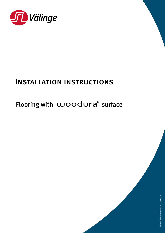

## Installation instructions

## Flooring with woodura® surface

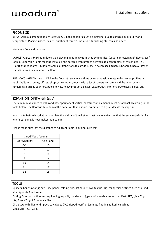### FLOOR SIZE

IMPORTANT. Maximum floor size is 225 m2. Expansion joints must be installed, due to changes in humidity and temperature. Placing, usage, design, number of corners, room size, furnishing etc. can also affect.

Maximum floor widths: 12 m

DOMESTIC areas. Maximum floor size is 225 m2 in normally furnished symmetrical (square or rectangular) floor areas/ rooms. Expansion joints must be installed and covered with profiles between adjacent rooms, at thresholds, in L-, T- or U-shaped rooms, in library rooms, at transitions to corridors, etc. Never place kitchen cupboards, heavy kitchen islands, stoves or similar on the floor.

PUBLIC/COMMERCIAL areas. Divide the floor into smaller sections using expansion joints with covered profiles in public halls and rooms, offices, shops, showrooms, rooms with a lot of corners etc, often with heavier custom furnishings such as counters, bookshelves, heavy product displays, vast product interiors, bookcases, safes, etc.

### EXPANSION JOINT width (gap)

The minimum distance to walls and other permanent vertical construction elements, must be at least according to the table below. The floor width (= sum of the panel width in a room, example see figure) decide the gap size.

Important: Before installation, calculate the widths of the first and last row to make sure that the smallest width of a length-cut panel is not smaller than 50 mm.

Please make sure that the distance to adjacent floors is minimum 20 mm.

| Cured Wood [10 mm] |          |  |
|--------------------|----------|--|
| Floor width [m]    | Gap [mm] |  |
| $0 - 6$            | 10       |  |
| 7                  | 11       |  |
| 8                  | 12       |  |
| 9                  | 14       |  |
| 10                 | 15       |  |
| 11                 | 17       |  |
| 12                 | 18       |  |
|                    |          |  |

### TOOLS

Spacers, handsaw or jig saw. Fine pencil, folding rule, set square, (white glue - D3, for special cuttings such as at radiator pipes etc.) and knife.

Cutting Cured Wood flooring requires high-quality handsaw or jigsaw with sawblades such as Festo HM75/4,5 T141 HM, Bosch T 130 RF HM or similar.

Circle saw with diamond tipped sawblades (PCD tipped teeth) or laminate flooring guillotine such as Mega STRATICUT 400.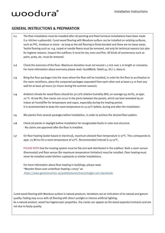### GENERAL INSTRUCTIONS & PREPARATION

- 1.1 The floor installation must be installed after all painting and fixed furniture installations have been made (i.e. kitchen cupboards). Cured wood flooring with Woodura surface can be installed on existing surfaces, such as PVC, linoleum or stone - as long as the old flooring is firmly bonded and there are no loose areas. Textile flooring such as e.g. carpet or needle fleece must be removed, not only for technical reasons but also for hygiene reasons. Inspect the subfloor; It must be dry, even and firm. All kinds of unevenness such as paint, putty, etc. must be removed.
- 1.2 Check the evenness of the floor. Maximum deviation must not exceed  $\pm$  3 mm over 2 m length or crosswise. For more information about evenness please read: HusAMA18, Tabell 43. DC/-1, klass A.
- 1.3 Bring the floor packages into the room where the floor will be installed, in order for the floor to acclimatize to the room conditions, place the unopened packages separated from each other and at least 0.5 m from any wall for at least 48 hours (72 hours during the summer season).
- 1.4 Ambient climate for wood floors should be 30-70% relative humidity (RH), on average (45-60%), at appr. 20 °C. At low RH, fine cracks can occur in the joints between the panels, which are best remedied by an indoor air humidifier for temperature and vapor, especially during the heating period. It is recommended to keep the room temperature to 15-25°C before, during and after the installation.
- 1.5 Mix planks from several packages before installation, in order to achieve the desired floor pattern.
- 1.6 Check all planks in daylight before installation for recognizable faults in color and structure. - No claims are approved after the floor is installed.
- 1.7 On floor heating (water-based or electrical), maximum allowed floor temperature is 27°C. This corresponds to appr. 75 W/m2 for a room temperature of 20°C. Recommended interval is 15-27°C.

PLEASE NOTE that the heating system must be flat and well-distributed in the subfloor. Both a room sensor (thermostat) and floor sensor (for maximum temperature limitation) must be installed. Floor heating must never be installed under kitchen cupboards or similar installations.

For more information about floor heating in buildings, please read: "Wooden floors over underfloor heating 1-2005" at: [https://www.golvbranschen.se/publikationer/branschregler-och-standarder]( https://www.golvbranschen.se/publikationer/branschregler-och-standarder)

Cured wood flooring with Woodura surface is natural products. Variations are an indication of its natural and genuin quality. Fading may occur with all flooring with direct sunlight or intense artificial lighting. As a natural product, wood has hygroscopic properties. Dry cracks can appear as the wood expands/contracts and are not due to faulty quality.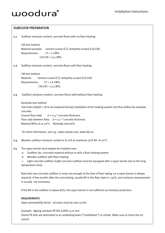### SUBFLOOR PREPARATION 2.1 Subfloor moisture content, concrete floors with no floor heating. CM test method Material example: Cement screed (CT), Anhydrite screed (CA/CAF) Requirements: CT: < 2 CM% CA/CAF: < 0.5 CM% 2.2 Subfloor moisture content, concrete floors with floor heating CM test method Material: Cement screed (CT), Anhydrite screed (CA/CAF) Requirements: CT: < 1.8 CM% CA/CAF: < 0.3 CM% 2.3 Subfloor moisture content, concrete floors with/without floor heating Borehole test method Test holes (depth = d) to be prepared during installation of the heating system and thus before for example concrete. Ground floor slab:  $d = 0.4$  \* concrete thickness Floor slab between flats:  $d = 0.2 *$  concrete thickness Material RH% at ca 20°C: Normally max 85% For more information, see e.g.: www.vaisala.com, www.rbk.se 2.4 Wooden subfloor moisture content is 8-10% at maximum 50% RH at 20°C. 2.5 The vapor barrier must always be installed over: a. Subfloor (ex. concrete) material without or with a floor heating system b. Wooden subfloor with floor heating c. Light concrete subfloor (Light concrete subfloor must be equipped with a vapor barrier due to the long dehydration time). Note that new concrete subfloor is never dry enough at the time of floor laying, so a vapor barrier is always required. A few months after the concreating, usually RH in the floor layer is < 95%, and moisture measurement is usually not necessary. If the RH in the subfloor is above 85%, the vapor barrier is not sufficient as moisture protection. REQUIREMENTS Vapor permeability factor: sd-value must be over 75 [m]. Example: Ageing resistant PE-foil (LDPE) 0,20 mm

 (Some PE-foils are laminated to an underlying foam ("Combifoam") or similar. Make sure to check the sdvalue!)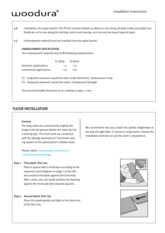- 2.6 Installation of a vapor barrier: The PE-foil must be folded up about 50 mm along all walls (collar principle) and finally be cut to size along the skirting. Joints must overlap 200 mm and be taped (special tape).
- 2.7 Underlayment material must be installed over the vapor barrier.

### UNDERLAYMANT SPECIFICATION

The underlayment material must fulfil following requirements:

|                         | CC [kPa]        | CS [kPa]         |
|-------------------------|-----------------|------------------|
| Domestic applications   | $\rightarrow$ 2 | $\rightarrow$ 10 |
| Commercial applications | 200             | → 6o             |

CC: Long-term exposure caused by static loads (furniture), Compressive Creep

CS: Temporary exposure caused by loads, Compressive Strength

The recommendable thickness of an underlay is appr. 2 mm.

### FLOOR INSTALLATION

#### General

The long sides are connected by angling the tongue into the groove (where the lower lip has a locking tap). The short ends are connected with the Välinge patented 5G® Fold Down locking system as the plank/panel is folded down.

Please watch: www.valinge.se/products/ click-flooring-technology

#### Step 1 First plank, first row.

Place a spacer with a thickness according to the expansion joint diagram on page 1 to the left, and position the plank against the front wall. After 3 rows, you can easily position the flooring against the front wall with required spacers.

### Step 2 Second plank, first row

Place this plank gently and tight to the short end of the first one.

installation direction to suit the room´s proportions.

We recommend that you install the planks lengthways to the way the light falls. In narrow or long rooms, choose the



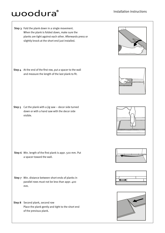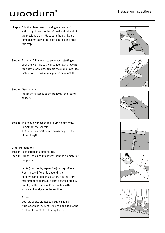- Step 9 Fold the plank down in a single movement with a slight press to the left to the short end of the previous plank. Make sure the planks are tight against each other booth during and after this step.
- Step 10 First row. Adjustment to an uneven starting wall. Copy the wall line to the first floor plank row with the shown tool, disassemble the 2 or 3 rows (see instruction below), adjust planks an reinstall.
- Step 11 After 2-3 rows Adjust the distance to the front wall by placing spacers.
- Step 12 The final row must be minimum 50 mm wide. Remember the spacers. Tip! Put a spacer(s) before measuring. Cut the planks lengthwise

#### Other installations

- Step 13 Installation at radiator pipes.
- Step 14 Drill the holes 20 mm larger than the diameter of the pipes.

 Joints (thresholds/expansion joints/profiles) Floors move differently depending on floor type and room installation. It is therefore recommended to install a joint between rooms. Don't glue the thresholds or profiles to the adjacent floors! Just to the subfloor.

#### Fixings

 Door stoppers, profiles to flexible sliding wardrobe walls/mirrors, etc. shall be fixed to the subfloor (never to the floating floor).